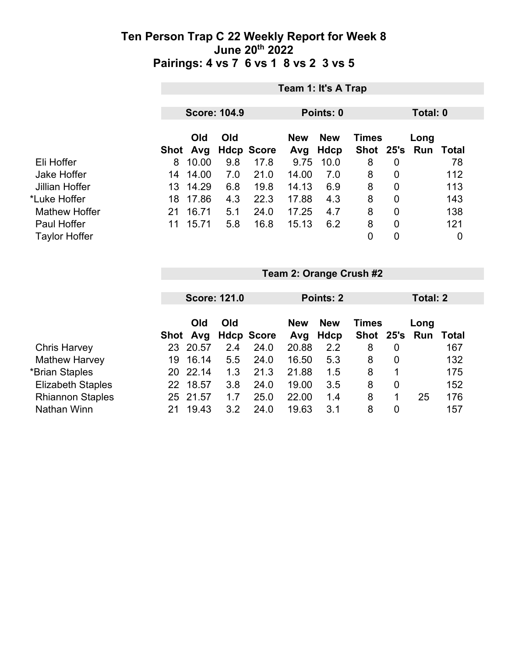|                      |      | Team 1: It's A Trap |                     |                   |                   |                           |                |                |                             |     |  |
|----------------------|------|---------------------|---------------------|-------------------|-------------------|---------------------------|----------------|----------------|-----------------------------|-----|--|
|                      |      |                     | <b>Score: 104.9</b> |                   | Points: 0         |                           |                |                | Total: 0                    |     |  |
|                      | Shot | Old<br>Avg          | Old                 | <b>Hdcp Score</b> | <b>New</b><br>Avg | <b>New</b><br><b>Hdcp</b> | <b>Times</b>   |                | Long<br>Shot 25's Run Total |     |  |
| Eli Hoffer           | 8    | 10.00               | 9.8                 | 17.8              | 9.75              | 10.0                      | 8              | 0              |                             | 78  |  |
| <b>Jake Hoffer</b>   | 14   | 14.00               | 7.0                 | 21.0              | 14.00             | 7.0                       | 8              | 0              |                             | 112 |  |
| Jillian Hoffer       | 13   | 14.29               | 6.8                 | 19.8              | 14.13             | 6.9                       | 8              | 0              |                             | 113 |  |
| *Luke Hoffer         | 18   | 17.86               | 4.3                 | 22.3              | 17.88             | 4.3                       | 8              | $\overline{0}$ |                             | 143 |  |
| <b>Mathew Hoffer</b> | 21   | 16.71               | 5.1                 | 24.0              | 17.25             | 4.7                       | 8              | 0              |                             | 138 |  |
| Paul Hoffer          | 11   | 15.71               | 5.8                 | 16.8              | 15.13             | 6.2                       | 8              | $\overline{0}$ |                             | 121 |  |
| <b>Taylor Hoffer</b> |      |                     |                     |                   |                   |                           | $\overline{0}$ | 0              |                             | 0   |  |

|                          |    | <b>Score: 121.0</b> |     |                   |            | Points: 2  |              |   |      | Total: 2 |  |  |
|--------------------------|----|---------------------|-----|-------------------|------------|------------|--------------|---|------|----------|--|--|
|                          |    |                     |     |                   |            |            |              |   |      |          |  |  |
|                          |    | Old                 | Old |                   | <b>New</b> | <b>New</b> | <b>Times</b> |   | Long |          |  |  |
|                          |    | Shot Avg            |     | <b>Hdcp Score</b> | Avg        | Hdcp       | Shot 25's    |   | Run  | Total    |  |  |
| <b>Chris Harvey</b>      | 23 | 20.57               | 2.4 | 24.0              | 20.88      | 2.2        | 8            | 0 |      | 167      |  |  |
| <b>Mathew Harvey</b>     | 19 | 16.14               | 5.5 | 24.0              | 16.50      | 5.3        | 8            | 0 |      | 132      |  |  |
| *Brian Staples           | 20 | 22.14               | 1.3 | 21.3              | 21.88      | 1.5        | 8            |   |      | 175      |  |  |
| <b>Elizabeth Staples</b> | 22 | 18.57               | 3.8 | 24.0              | 19.00      | 3.5        | 8            | 0 |      | 152      |  |  |
| <b>Rhiannon Staples</b>  | 25 | 21.57               | 1.7 | 25.0              | 22.00      | 1.4        | 8            | 1 | 25   | 176      |  |  |
| Nathan Winn              |    | 19.43               | 3.2 | 24.0              | 19.63      | 3.1        | 8            | 0 |      | 157      |  |  |

**Team 2: Orange Crush #2**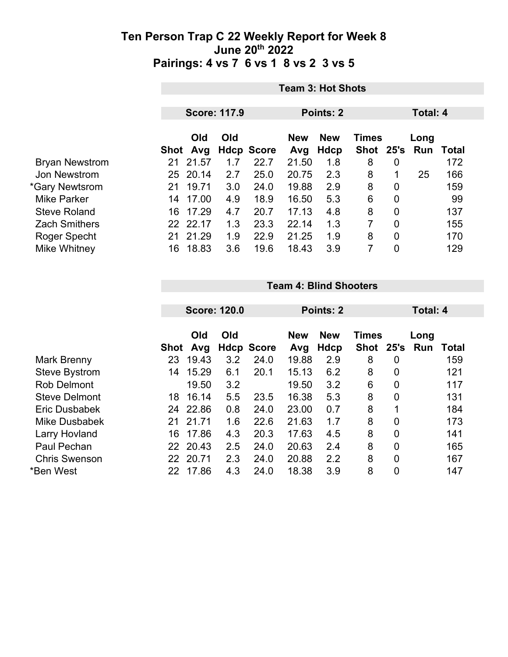|                       | <b>Team 3: Hot Shots</b> |                     |     |                   |                   |                    |                      |                |             |       |
|-----------------------|--------------------------|---------------------|-----|-------------------|-------------------|--------------------|----------------------|----------------|-------------|-------|
|                       |                          | <b>Score: 117.9</b> |     |                   | <b>Points: 2</b>  |                    |                      | Total: 4       |             |       |
|                       | Shot                     | Old<br>Avg          | Old | <b>Hdcp Score</b> | <b>New</b><br>Avg | <b>New</b><br>Hdcp | <b>Times</b><br>Shot | 25's           | Long<br>Run | Total |
| <b>Bryan Newstrom</b> | 21                       | 21.57               | 1.7 | 22.7              | 21.50             | 1.8                | 8                    | 0              |             | 172   |
| Jon Newstrom          | 25                       | 20.14               | 2.7 | 25.0              | 20.75             | 2.3                | 8                    | 1              | 25          | 166   |
| *Gary Newtsrom        | 21                       | 19.71               | 3.0 | 24.0              | 19.88             | 2.9                | 8                    | 0              |             | 159   |
| <b>Mike Parker</b>    | 14                       | 17.00               | 4.9 | 18.9              | 16.50             | 5.3                | 6                    | $\overline{0}$ |             | 99    |
| <b>Steve Roland</b>   | 16                       | 17.29               | 4.7 | 20.7              | 17.13             | 4.8                | 8                    | $\mathbf 0$    |             | 137   |
| <b>Zach Smithers</b>  | 22.                      | 22.17               | 1.3 | 23.3              | 22.14             | 1.3                | 7                    | $\overline{0}$ |             | 155   |
| Roger Specht          | 21                       | 21.29               | 1.9 | 22.9              | 21.25             | 1.9                | 8                    | $\overline{0}$ |             | 170   |
| Mike Whitney          | 16                       | 18.83               | 3.6 | 19.6              | 18.43             | 3.9                | 7                    | 0              |             | 129   |

#### **Team 4: Blind Shooters**

| <b>Score: 120.0</b> |          |                                                                                     |                   |                                   | Total: 4                       |                                        |                |                                          |              |
|---------------------|----------|-------------------------------------------------------------------------------------|-------------------|-----------------------------------|--------------------------------|----------------------------------------|----------------|------------------------------------------|--------------|
|                     | Old      | Old                                                                                 |                   | <b>New</b>                        | <b>New</b>                     |                                        |                | Long                                     |              |
|                     |          |                                                                                     |                   |                                   |                                |                                        |                |                                          | Total<br>159 |
|                     |          |                                                                                     |                   |                                   |                                |                                        |                |                                          |              |
|                     |          |                                                                                     |                   |                                   |                                |                                        |                |                                          | 121          |
|                     |          |                                                                                     |                   |                                   |                                |                                        |                |                                          | 117          |
| 18                  | 16.14    | 5.5                                                                                 | 23.5              | 16.38                             | 5.3                            | 8                                      | $\overline{0}$ |                                          | 131          |
|                     |          | 0.8                                                                                 | 24.0              | 23.00                             | 0.7                            | 8                                      | 1              |                                          | 184          |
| 21                  |          | 1.6                                                                                 | 22.6              | 21.63                             | 1.7                            | 8                                      | $\overline{0}$ |                                          | 173          |
| 16                  | 17.86    | 4.3                                                                                 | 20.3              | 17.63                             | 4.5                            | 8                                      | $\overline{0}$ |                                          | 141          |
|                     |          | 2.5                                                                                 | 24.0              | 20.63                             | 2.4                            | 8                                      | $\overline{0}$ |                                          | 165          |
|                     |          | 2.3                                                                                 | 24.0              | 20.88                             | 2.2                            | 8                                      | $\overline{0}$ |                                          | 167          |
| 22                  | 17.86    | 4.3                                                                                 | 24.0              | 18.38                             | 3.9                            | 8                                      | 0              |                                          | 147          |
|                     | 23<br>14 | Avg<br>Shot<br>19.43<br>15.29<br>19.50<br>24 22.86<br>21.71<br>22 20.43<br>22 20.71 | 3.2<br>6.1<br>3.2 | <b>Hdcp Score</b><br>24.0<br>20.1 | Avg<br>19.88<br>15.13<br>19.50 | Points: 2<br>Hdcp<br>2.9<br>6.2<br>3.2 | 8<br>8<br>6    | <b>Times</b><br>Shot 25's<br>0<br>0<br>0 | Run          |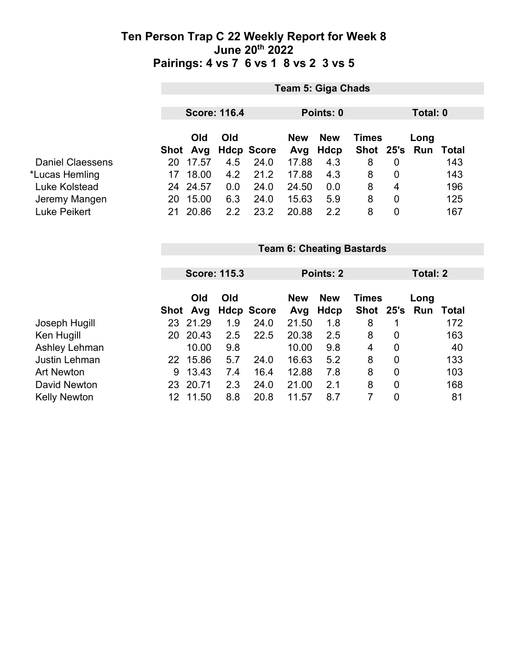|                         |     | Team 5: Giga Chads                           |               |                   |       |                                          |               |                |      |       |  |
|-------------------------|-----|----------------------------------------------|---------------|-------------------|-------|------------------------------------------|---------------|----------------|------|-------|--|
|                         |     | <b>Score: 116.4</b><br>Points: 0<br>Total: 0 |               |                   |       |                                          |               |                |      |       |  |
|                         |     | Old<br>Old                                   |               |                   |       | <b>New</b><br><b>New</b><br><b>Times</b> |               |                | Long |       |  |
|                         |     | Shot Avg                                     |               | <b>Hdcp Score</b> | Avg   | Hdcp                                     | Shot 25's Run |                |      | Total |  |
| <b>Daniel Claessens</b> | 20  | 17.57                                        | 4.5           | 24.0              | 17.88 | 4.3                                      | 8             | 0              |      | 143   |  |
| *Lucas Hemling          | 17  | 18.00                                        | 4.2           | 21.2              | 17.88 | 4.3                                      | 8             | 0              |      | 143   |  |
| Luke Kolstead           |     | 24 24.57                                     | 0.0           | 24.0              | 24.50 | 0.0                                      | 8             | 4              |      | 196   |  |
| Jeremy Mangen           | 20  | 15.00                                        | 6.3           | 24.0              | 15.63 | 5.9                                      | 8             | $\overline{0}$ |      | 125   |  |
| Luke Peikert            | 21. | 20.86                                        | $2.2^{\circ}$ | 23.2              | 20.88 | 2.2                                      | 8             | $\overline{0}$ |      | 167   |  |
|                         |     |                                              |               |                   |       |                                          |               |                |      |       |  |
|                         |     | <b>Team 6: Cheating Bastards</b>             |               |                   |       |                                          |               |                |      |       |  |

|                     |    | <b>Score: 115.3</b> |     |                     | <b>Points: 2</b>  |                    |                           | Total: 2       |             |       |
|---------------------|----|---------------------|-----|---------------------|-------------------|--------------------|---------------------------|----------------|-------------|-------|
|                     |    | Old                 | Old | Shot Avg Hdcp Score | <b>New</b><br>Avg | <b>New</b><br>Hdcp | <b>Times</b><br>Shot 25's |                | Long<br>Run | Total |
| Joseph Hugill       | 23 | 21.29               | 1.9 | 24.0                | 21.50             | 1.8                | 8                         |                |             | 172   |
| Ken Hugill          | 20 | 20.43               | 2.5 | 22.5                | 20.38             | 2.5                | 8                         | 0              |             | 163   |
| Ashley Lehman       |    | 10.00               | 9.8 |                     | 10.00             | 9.8                | 4                         | 0              |             | 40    |
| Justin Lehman       | 22 | 15.86               | 5.7 | 24.0                | 16.63             | 5.2                | 8                         | 0              |             | 133   |
| <b>Art Newton</b>   | 9  | 13.43               | 7.4 | 16.4                | 12.88             | 7.8                | 8                         | $\overline{0}$ |             | 103   |
| David Newton        | 23 | 20.71               | 2.3 | 24.0                | 21.00             | 2.1                | 8                         | $\overline{0}$ |             | 168   |
| <b>Kelly Newton</b> | 12 | 11.50               | 8.8 | 20.8                | 11.57             | 8.7                |                           | 0              |             | 81    |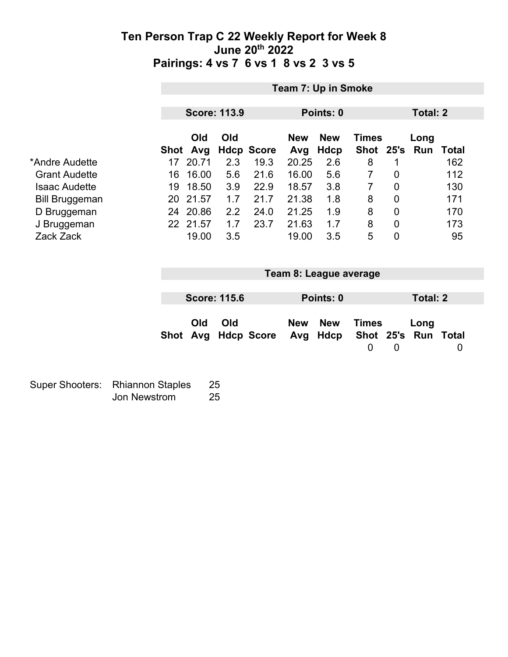|                          |      | Team 7: Up in Smoke  |            |                           |                |                        |                |                            |                 |                     |
|--------------------------|------|----------------------|------------|---------------------------|----------------|------------------------|----------------|----------------------------|-----------------|---------------------|
|                          |      |                      |            |                           |                |                        |                |                            |                 |                     |
|                          |      | <b>Score: 113.9</b>  |            |                           |                | Points: 0              |                |                            | Total: 2        |                     |
|                          |      | Old                  | Old        |                           | <b>New</b>     | <b>New</b>             | <b>Times</b>   |                            | Long            |                     |
| *Andre Audette           |      | Shot Avg<br>17 20.71 | 2.3        | <b>Hdcp Score</b><br>19.3 | Avg<br>20.25   | <b>Hdcp</b><br>2.6     | Shot<br>8      | 25's<br>1                  | Run             | <b>Total</b><br>162 |
| <b>Grant Audette</b>     | 16   | 16.00                | 5.6        | 21.6                      | 16.00          | 5.6                    | $\overline{7}$ | 0                          |                 | 112                 |
| <b>Isaac Audette</b>     | 19   | 18.50                | 3.9        | 22.9                      | 18.57          | 3.8                    | $\overline{7}$ | $\mathbf 0$                |                 | 130                 |
|                          | 20   | 21.57                | 1.7        | 21.7                      | 21.38          | 1.8                    | 8              | $\mathbf 0$                |                 | 171                 |
| <b>Bill Bruggeman</b>    |      | 24 20.86             | 2.2        | 24.0                      | 21.25          | 1.9                    | 8              | $\mathbf 0$                |                 | 170                 |
| D Bruggeman              |      |                      |            |                           |                |                        |                |                            |                 |                     |
| J Bruggeman<br>Zack Zack |      | 22 21.57<br>19.00    | 1.7<br>3.5 | 23.7                      | 21.63<br>19.00 | 1.7<br>3.5             | 8<br>5         | $\mathbf 0$<br>$\mathbf 0$ |                 | 173<br>95           |
|                          |      |                      |            |                           |                |                        |                |                            |                 |                     |
|                          |      |                      |            |                           |                |                        |                |                            |                 |                     |
|                          |      |                      |            |                           |                | Team 8: League average |                |                            |                 |                     |
|                          |      |                      |            |                           |                |                        |                |                            |                 |                     |
|                          |      | <b>Score: 115.6</b>  |            |                           |                | Points: 0              |                |                            | <b>Total: 2</b> |                     |
|                          |      |                      |            |                           |                |                        |                |                            |                 |                     |
|                          |      | Old                  | Old        |                           | <b>New</b>     | <b>New</b>             | <b>Times</b>   |                            | Long            |                     |
|                          | Shot | Avg                  |            | <b>Hdcp Score</b>         | Avg            | <b>Hdcp</b>            | Shot           | 25's                       | Run             | <b>Total</b>        |
|                          |      |                      |            |                           |                |                        | $\mathbf 0$    | $\mathbf 0$                |                 | 0                   |
|                          |      |                      |            |                           |                |                        |                |                            |                 |                     |
|                          |      |                      |            |                           |                |                        |                |                            |                 |                     |

| Super Shooters: Rhiannon Staples | -25 |
|----------------------------------|-----|
| Jon Newstrom                     | 25  |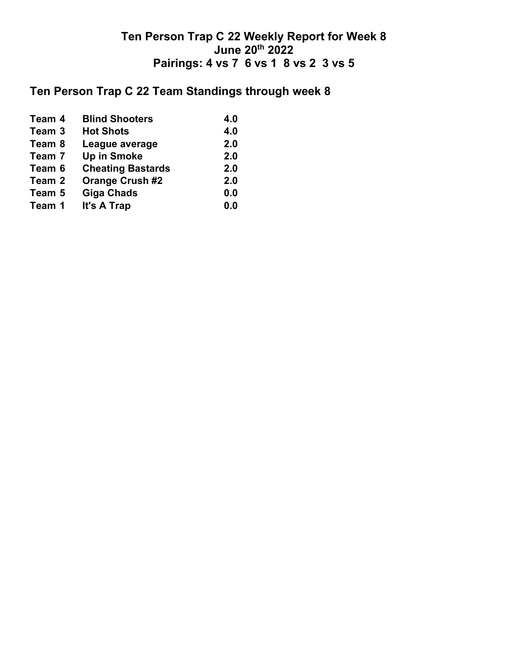# **Ten Person Trap C 22 Team Standings through week 8**

| Team 4 | <b>Blind Shooters</b>    | 4.0 |
|--------|--------------------------|-----|
| Team 3 | <b>Hot Shots</b>         | 4.0 |
| Team 8 | League average           | 2.0 |
| Team 7 | <b>Up in Smoke</b>       | 2.0 |
| Team 6 | <b>Cheating Bastards</b> | 2.0 |
| Team 2 | <b>Orange Crush #2</b>   | 2.0 |
| Team 5 | <b>Giga Chads</b>        | 0.0 |
| Team 1 | It's A Trap              | 0.0 |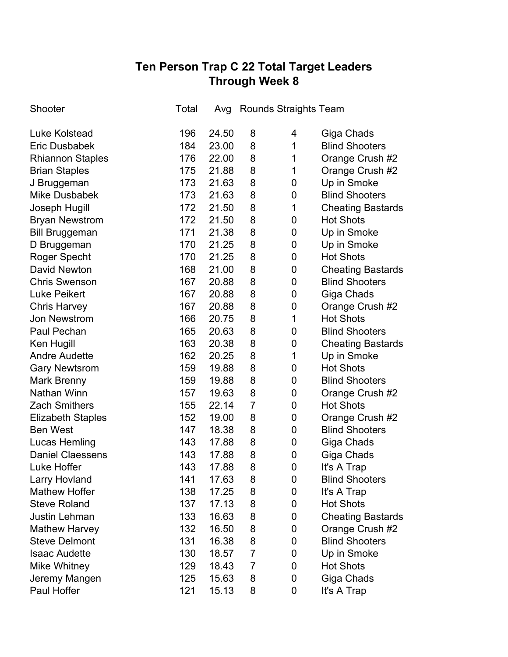## **Ten Person Trap C 22 Total Target Leaders Through Week 8**

| Shooter                  | Total | Avg   | <b>Rounds Straights Team</b> |             |                          |
|--------------------------|-------|-------|------------------------------|-------------|--------------------------|
| Luke Kolstead            | 196   | 24.50 | 8                            | 4           | Giga Chads               |
| <b>Eric Dusbabek</b>     | 184   | 23.00 | 8                            | 1           | <b>Blind Shooters</b>    |
| <b>Rhiannon Staples</b>  | 176   | 22.00 | 8                            | 1           | Orange Crush #2          |
| <b>Brian Staples</b>     | 175   | 21.88 | 8                            | 1           | Orange Crush #2          |
| J Bruggeman              | 173   | 21.63 | 8                            | 0           | Up in Smoke              |
| <b>Mike Dusbabek</b>     | 173   | 21.63 | 8                            | $\mathbf 0$ | <b>Blind Shooters</b>    |
| Joseph Hugill            | 172   | 21.50 | 8                            | 1           | <b>Cheating Bastards</b> |
| <b>Bryan Newstrom</b>    | 172   | 21.50 | 8                            | 0           | <b>Hot Shots</b>         |
| <b>Bill Bruggeman</b>    | 171   | 21.38 | 8                            | 0           | Up in Smoke              |
| D Bruggeman              | 170   | 21.25 | 8                            | 0           | Up in Smoke              |
| Roger Specht             | 170   | 21.25 | 8                            | 0           | <b>Hot Shots</b>         |
| <b>David Newton</b>      | 168   | 21.00 | 8                            | 0           | <b>Cheating Bastards</b> |
| <b>Chris Swenson</b>     | 167   | 20.88 | 8                            | 0           | <b>Blind Shooters</b>    |
| <b>Luke Peikert</b>      | 167   | 20.88 | 8                            | 0           | Giga Chads               |
| <b>Chris Harvey</b>      | 167   | 20.88 | 8                            | 0           | Orange Crush #2          |
| <b>Jon Newstrom</b>      | 166   | 20.75 | 8                            | 1           | <b>Hot Shots</b>         |
| Paul Pechan              | 165   | 20.63 | 8                            | 0           | <b>Blind Shooters</b>    |
| Ken Hugill               | 163   | 20.38 | 8                            | 0           | <b>Cheating Bastards</b> |
| <b>Andre Audette</b>     | 162   | 20.25 | 8                            | 1           | Up in Smoke              |
| <b>Gary Newtsrom</b>     | 159   | 19.88 | 8                            | 0           | <b>Hot Shots</b>         |
| <b>Mark Brenny</b>       | 159   | 19.88 | 8                            | 0           | <b>Blind Shooters</b>    |
| <b>Nathan Winn</b>       | 157   | 19.63 | 8                            | 0           | Orange Crush #2          |
| <b>Zach Smithers</b>     | 155   | 22.14 | $\overline{7}$               | 0           | <b>Hot Shots</b>         |
| <b>Elizabeth Staples</b> | 152   | 19.00 | 8                            | 0           | Orange Crush #2          |
| <b>Ben West</b>          | 147   | 18.38 | 8                            | 0           | <b>Blind Shooters</b>    |
| <b>Lucas Hemling</b>     | 143   | 17.88 | 8                            | 0           | Giga Chads               |
| <b>Daniel Claessens</b>  | 143   | 17.88 | 8                            | 0           | Giga Chads               |
| Luke Hoffer              | 143   | 17.88 | 8                            | 0           | It's A Trap              |
| <b>Larry Hovland</b>     | 141   | 17.63 | 8                            | 0           | <b>Blind Shooters</b>    |
| <b>Mathew Hoffer</b>     | 138   | 17.25 | 8                            | 0           | It's A Trap              |
| <b>Steve Roland</b>      | 137   | 17.13 | 8                            | 0           | <b>Hot Shots</b>         |
| <b>Justin Lehman</b>     | 133   | 16.63 | 8                            | 0           | <b>Cheating Bastards</b> |
| <b>Mathew Harvey</b>     | 132   | 16.50 | 8                            | 0           | Orange Crush #2          |
| <b>Steve Delmont</b>     | 131   | 16.38 | 8                            | 0           | <b>Blind Shooters</b>    |
| <b>Isaac Audette</b>     | 130   | 18.57 | 7                            | 0           | Up in Smoke              |
| Mike Whitney             | 129   | 18.43 | 7                            | 0           | <b>Hot Shots</b>         |
| Jeremy Mangen            | 125   | 15.63 | 8                            | 0           | Giga Chads               |
| Paul Hoffer              | 121   | 15.13 | 8                            | 0           | It's A Trap              |